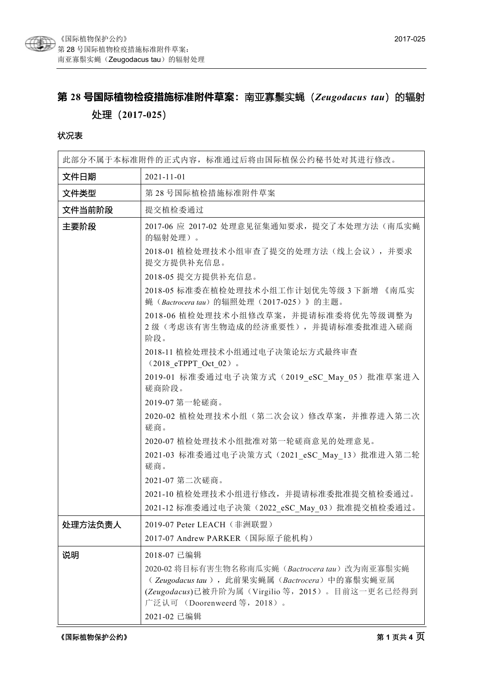

# **第 28 号国际植物检疫措施标准附件草案:**南亚寡鬃实蝇(*Zeugodacus tau*)的辐射

## 处理(**2017-025**)

#### 状况表

| 此部分不属于本标准附件的正式内容,标准通过后将由国际植保公约秘书处对其进行修改。 |                                                                                                                                                                                   |  |  |
|------------------------------------------|-----------------------------------------------------------------------------------------------------------------------------------------------------------------------------------|--|--|
| 文件日期                                     | $2021 - 11 - 01$                                                                                                                                                                  |  |  |
| 文件类型                                     | 第28号国际植检措施标准附件草案                                                                                                                                                                  |  |  |
| 文件当前阶段                                   | 提交植检委通过                                                                                                                                                                           |  |  |
| 主要阶段                                     | 2017-06 应 2017-02 处理意见征集通知要求, 提交了本处理方法(南瓜实蝇<br>的辐射处理)。                                                                                                                            |  |  |
|                                          | 2018-01 植检处理技术小组审查了提交的处理方法(线上会议), 并要求<br>提交方提供补充信息。                                                                                                                               |  |  |
|                                          | 2018-05 提交方提供补充信息。                                                                                                                                                                |  |  |
|                                          | 2018-05 标准委在植检处理技术小组工作计划优先等级 3 下新增 《南瓜实<br>蝇 (Bactrocera tau) 的辐照处理 (2017-025) 》的主题。                                                                                              |  |  |
|                                          | 2018-06 植检处理技术小组修改草案, 并提请标准委将优先等级调整为<br>2级(考虑该有害生物造成的经济重要性),并提请标准委批准进入磋商<br>阶段。                                                                                                   |  |  |
|                                          | 2018-11 植检处理技术小组通过电子决策论坛方式最终审查<br>$(2018$ eTPPT Oct 02).                                                                                                                          |  |  |
|                                          | 2019-01 标准委通过电子决策方式 (2019 eSC May 05) 批准草案进入<br>磋商阶段。                                                                                                                             |  |  |
|                                          | 2019-07 第一轮磋商。                                                                                                                                                                    |  |  |
|                                          | 2020-02 植检处理技术小组(第二次会议)修改草案,并推荐进入第二次<br>磋商。                                                                                                                                       |  |  |
|                                          | 2020-07 植检处理技术小组批准对第一轮磋商意见的处理意见。                                                                                                                                                  |  |  |
|                                          | 2021-03 标准委通过电子决策方式 (2021 eSC May 13) 批准进入第二轮<br>磋商。                                                                                                                              |  |  |
|                                          | 2021-07 第二次磋商。                                                                                                                                                                    |  |  |
|                                          | 2021-10 植检处理技术小组进行修改, 并提请标准委批准提交植检委通过。                                                                                                                                            |  |  |
|                                          | 2021-12 标准委通过电子决策 (2022 eSC May 03) 批准提交植检委通过。                                                                                                                                    |  |  |
| 处理方法负责人                                  | 2019-07 Peter LEACH (非洲联盟)                                                                                                                                                        |  |  |
|                                          | 2017-07 Andrew PARKER (国际原子能机构)                                                                                                                                                   |  |  |
| 说明                                       | 2018-07 已编辑                                                                                                                                                                       |  |  |
|                                          | 2020-02 将目标有害生物名称南瓜实蝇 (Bactrocera tau) 改为南亚寡鬃实蝇<br>(Zeugodacus tau), 此前果实蝇属(Bactrocera)中的寡鬃实蝇亚属<br>(Zeugodacus)已被升阶为属(Virgilio 等, 2015)。目前这一更名已经得到<br>广泛认可 (Doorenweerd 等, 2018)。 |  |  |
|                                          | 2021-02 已编辑                                                                                                                                                                       |  |  |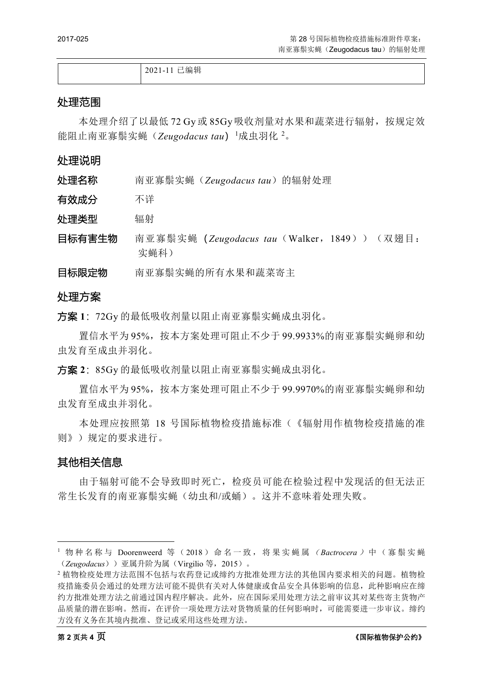2021-11 已编辑

#### 处理范围

本处理介绍了以最低 72 Gy 或 85Gy 吸收剂量对水果和蔬菜进行辐射, 按规定效 能阻止南亚寡鬃实蝇(Zeugodacus tau)<sup>[1](#page-1-0)</sup>成虫羽化 <sup>[2](#page-1-1)</sup>。

#### 处理说明

| 处理名称 |  | 南亚寡鬃实蝇 (Zeugodacus tau) 的辐射处理 |  |
|------|--|-------------------------------|--|
|------|--|-------------------------------|--|

有效成分 不详

处理类型 辐射

- 目标有害生物 南亚寡鬃实蝇(*Zeugodacus tau*(Walker,1849))(双翅目: 实蝇科)
- 目标限定物 南亚寡鬃实蝇的所有水果和蔬菜寄主

#### 处理方案

方案 **1**:72Gy 的最低吸收剂量以阻止南亚寡鬃实蝇成虫羽化。

置信水平为 95%,按本方案处理可阻止不少于 99.9933%的南亚寡鬃实蝇卵和幼 虫发育至成虫并羽化。

方案 **2**:85Gy 的最低吸收剂量以阻止南亚寡鬃实蝇成虫羽化。

置信水平为 95%,按本方案处理可阻止不少于 99.9970%的南亚寡鬃实蝇卵和幼 虫发育至成虫并羽化。

本处理应按照第 18 号国际植物检疫措施标准(《辐射用作植物检疫措施的准 则》)规定的要求进行。

#### 其他相关信息

由于辐射可能不会导致即时死亡,检疫员可能在检验过程中发现活的但无法正 常生长发育的南亚寡鬃实蝇(幼虫和/或蛹)。这并不意味着处理失败。

<span id="page-1-0"></span><sup>1</sup> 物种名称与 Doorenweerd 等 (2018) 命名一致, 将果实蝇属 (Bactrocera) 中 (寡鬃实蝇 (*Zeugodacus*))亚属升阶为属(Virgilio 等,2015)。

<span id="page-1-1"></span><sup>2</sup> 植物检疫处理方法范围不包括与农药登记或缔约方批准处理方法的其他国内要求相关的问题。植物检 疫措施委员会通过的处理方法可能不提供有关对人体健康或食品安全具体影响的信息,此种影响应在缔 约方批准处理方法之前通过国内程序解决。此外,应在国际采用处理方法之前审议其对某些寄主货物产 品质量的潜在影响。然而,在评价一项处理方法对货物质量的任何影响时,可能需要进一步审议。缔约 方没有义务在其境内批准、登记或采用这些处理方法。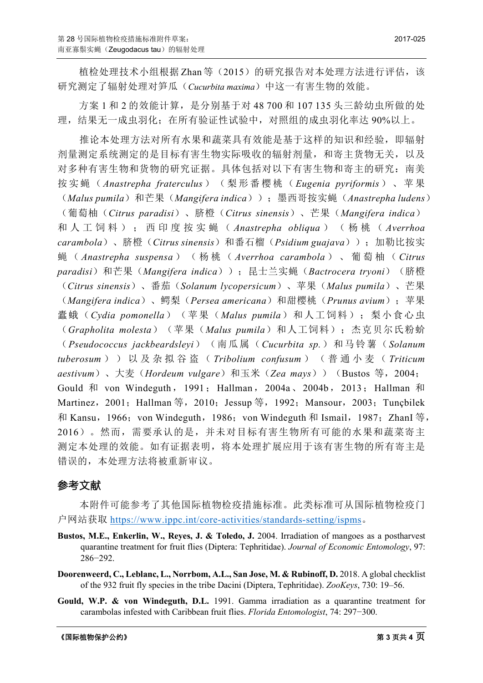植检处理技术小组根据 Zhan 等(2015)的研究报告对本处理方法进行评估,该 研究测定了辐射处理对笋瓜(*Cucurbita maxima*)中这一有害生物的效能。

方案 1 和 2 的效能计算,是分别基于对 48 700 和 107 135 头三龄幼虫所做的处 理,结果无一成虫羽化;在所有验证性试验中,对照组的成虫羽化率达 90%以上。

推论本处理方法对所有水果和蔬菜具有效能是基于这样的知识和经验,即辐射 剂量测定系统测定的是目标有害生物实际吸收的辐射剂量,和寄主货物无关,以及 对多种有害生物和货物的研究证据。具体包括对以下有害生物和寄主的研究:南美 按实蝇( *Anastrepha fraterculus* )(梨形番樱桃( *Eugenia pyriformis* )、苹果 (*Malus pumila*)和芒果(*Mangifera indica*));墨西哥按实蝇(*Anastrepha ludens*) (葡萄柚(*Citrus paradisi*)、脐橙(*Citrus sinensis*)、芒果(*Mangifera indica*) 和人工饲料);西印度按实蝇( *Anastrepha obliqua* )(杨桃( *Averrhoa carambola*)、脐橙(*Citrus sinensis*)和番石榴(*Psidium guajava*));加勒比按实 蝇 ( *Anastrepha suspensa* )(杨桃( *Averrhoa carambola* )、葡萄柚( *Citrus paradisi*)和芒果(*Mangifera indica*));昆士兰实蝇(*Bactrocera tryoni*)(脐橙 (*Citrus sinensis*)、番茄(*Solanum lycopersicum*)、苹果(*Malus pumila*)、芒果 (*Mangifera indica*)、鳄梨(*Persea americana*)和甜樱桃(*Prunus avium*);苹果 蠹蛾(*Cydia pomonella*)(苹果(*Malus pumila*)和人工饲料);梨小食心虫 (*Grapholita molesta*)(苹果(*Malus pumila*)和人工饲料);杰克贝尔氏粉蚧 (*Pseudococcus jackbeardsleyi*)(南瓜属(*Cucurbita sp.*)和马铃薯(*Solanum tuberosum* ))以及杂拟谷盗( *Tribolium confusum* )(普通小麦( *Triticum aestivum*)、大麦(*Hordeum vulgare*)和玉米(*Zea mays*))(Bustos 等,2004; Gould 和 von Windeguth, 1991; Hallman, 2004a、2004b, 2013; Hallman 和 Martinez, 2001; Hallman 等, 2010; Jessup 等, 1992; Mansour, 2003; Tunçbilek 和 Kansu, 1966; von Windeguth, 1986; von Windeguth 和 Ismail, 1987; ZhanI 等, 2016)。然而,需要承认的是,并未对目标有害生物所有可能的水果和蔬菜寄主 测定本处理的效能。如有证据表明,将本处理扩展应用于该有害生物的所有寄主是 错误的,本处理方法将被重新审议。

### 参考文献

本附件可能参考了其他国际植物检疫措施标准。此类标准可从国际植物检疫门 户网站获取 <https://www.ippc.int/core-activities/standards-setting/ispms>。

- Bustos, M.E., Enkerlin, W., Reyes, J. & Toledo, J. 2004. Irradiation of mangoes as a postharvest quarantine treatment for fruit flies (Diptera: Tephritidae). *Journal of Economic Entomology*, 97: 286−292.
- **Doorenweerd, C., Leblanc, L., Norrbom, A.L., San Jose, M. & Rubinoff, D.** 2018. A global checklist of the 932 fruit fly species in the tribe Dacini (Diptera, Tephritidae). *ZooKeys*, 730: 19–56.
- **Gould, W.P. & von Windeguth, D.L.** 1991. Gamma irradiation as a quarantine treatment for carambolas infested with Caribbean fruit flies. *Florida Entomologist*, 74: 297−300.